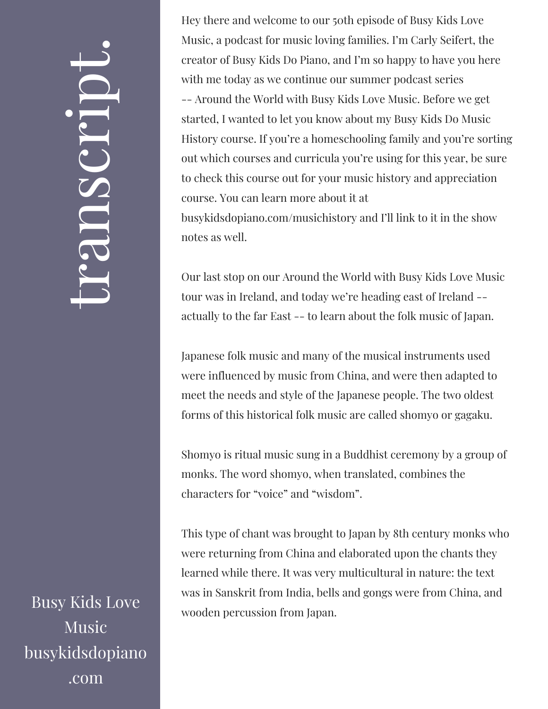## $\leftarrow$ ra<br>S n $\boldsymbol{C}$  $\bigcup$ r $\bullet$   $\overline{\phantom{a}}$  $\boxed{\phantom{1}}$  $\overline{\phantom{a}}$  $\bullet$

Busy Kids Love Music busykidsdopiano .com

Hey there and welcome to our 50th episode of Busy Kids Love Music, a podcast for music loving families. I'm Carly Seifert, the creator of Busy Kids Do Piano, and I'm so happy to have you here with me today as we continue our summer podcast series -- Around the World with Busy Kids Love Music. Before we get started, I wanted to let you know about my Busy Kids Do Music History course. If you're a homeschooling family and you're sorting out which courses and curricula you're using for this year, be sure to check this course out for your music history and appreciation course. You can learn more about it at busykidsdopiano.com/musichistory and I'll link to it in the show notes as well.

Our last stop on our Around the World with Busy Kids Love Music tour was in Ireland, and today we're heading east of Ireland - actually to the far East -- to learn about the folk music of Japan.

Japanese folk music and many of the musical instruments used were influenced by music from China, and were then adapted to meet the needs and style of the Japanese people. The two oldest forms of this historical folk music are called shomyo or gagaku.

Shomyo is ritual music sung in a Buddhist ceremony by a group of monks. The word shomyo, when translated, combines the characters for "voice" and "wisdom".

This type of chant was brought to Japan by 8th century monks who were returning from China and elaborated upon the chants they learned while there. It was very multicultural in nature: the text was in Sanskrit from India, bells and gongs were from China, and wooden percussion from Japan.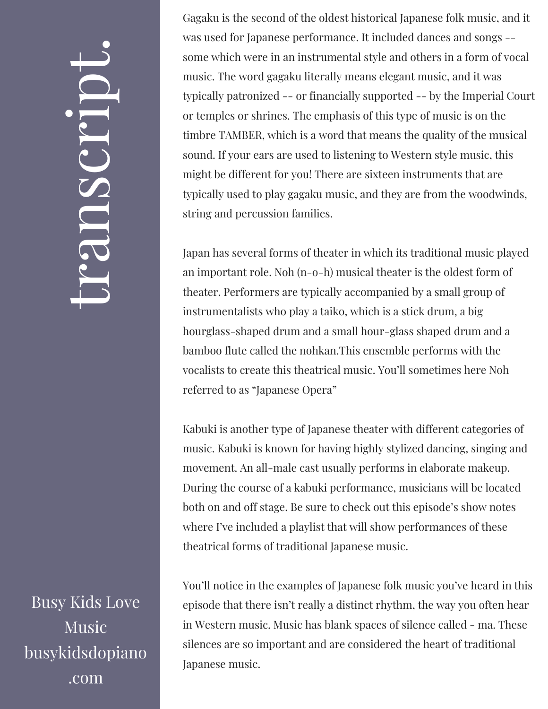## $\leftarrow$ ra<br>S n $\boldsymbol{C}$  $\bigcup$ r $\bullet$   $\overline{\phantom{a}}$  $\boxed{\phantom{1}}$  $\overline{\phantom{a}}$  $\bullet$

Busy Kids Love Music busykidsdopiano .com

Gagaku is the second of the oldest historical Japanese folk music, and it was used for Japanese performance. It included dances and songs - some which were in an instrumental style and others in a form of vocal music. The word gagaku literally means elegant music, and it was typically patronized -- or financially supported -- by the Imperial Court or temples or shrines. The emphasis of this type of music is on the timbre TAMBER, which is a word that means the quality of the musical sound. If your ears are used to listening to Western style music, this might be different for you! There are sixteen instruments that are typically used to play gagaku music, and they are from the woodwinds, string and percussion families.

Japan has several forms of theater in which its traditional music played an important role. Noh (n-o-h) musical theater is the oldest form of theater. Performers are typically accompanied by a small group of instrumentalists who play a taiko, which is a stick drum, a big hourglass-shaped drum and a small hour-glass shaped drum and a bamboo flute called the nohkan.This ensemble performs with the vocalists to create this theatrical music. You'll sometimes here Noh referred to as "Japanese Opera"

Kabuki is another type of Japanese theater with different categories of music. Kabuki is known for having highly stylized dancing, singing and movement. An all-male cast usually performs in elaborate makeup. During the course of a kabuki performance, musicians will be located both on and off stage. Be sure to check out this episode's show notes where I've included a playlist that will show performances of these theatrical forms of traditional Japanese music.

You'll notice in the examples of Japanese folk music you've heard in this episode that there isn't really a distinct rhythm, the way you often hear in Western music. Music has blank spaces of silence called - ma. These silences are so important and are considered the heart of traditional Japanese music.